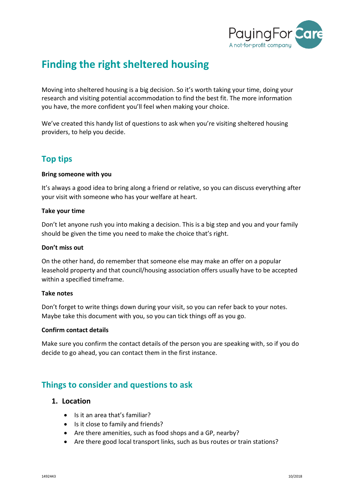

# **Finding the right sheltered housing**

Moving into sheltered housing is a big decision. So it's worth taking your time, doing your research and visiting potential accommodation to find the best fit. The more information you have, the more confident you'll feel when making your choice.

We've created this handy list of questions to ask when you're visiting sheltered housing providers, to help you decide.

## **Top tips**

#### **Bring someone with you**

It's always a good idea to bring along a friend or relative, so you can discuss everything after your visit with someone who has your welfare at heart.

#### **Take your time**

Don't let anyone rush you into making a decision. This is a big step and you and your family should be given the time you need to make the choice that's right.

#### **Don't miss out**

On the other hand, do remember that someone else may make an offer on a popular leasehold property and that council/housing association offers usually have to be accepted within a specified timeframe.

#### **Take notes**

Don't forget to write things down during your visit, so you can refer back to your notes. Maybe take this document with you, so you can tick things off as you go.

#### **Confirm contact details**

Make sure you confirm the contact details of the person you are speaking with, so if you do decide to go ahead, you can contact them in the first instance.

# **Things to consider and questions to ask**

#### **1. Location**

- Is it an area that's familiar?
- Is it close to family and friends?
- Are there amenities, such as food shops and a GP, nearby?
- Are there good local transport links, such as bus routes or train stations?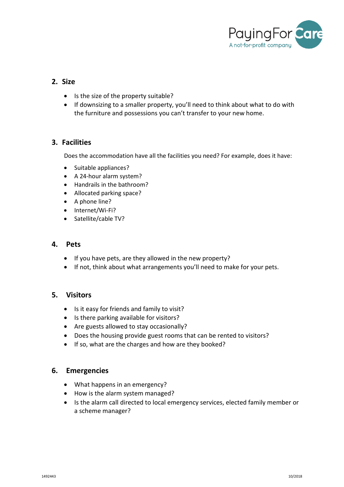

## **2. Size**

- Is the size of the property suitable?
- If downsizing to a smaller property, you'll need to think about what to do with the furniture and possessions you can't transfer to your new home.

## **3. Facilities**

Does the accommodation have all the facilities you need? For example, does it have:

- Suitable appliances?
- A 24-hour alarm system?
- Handrails in the bathroom?
- Allocated parking space?
- A phone line?
- Internet/Wi-Fi?
- Satellite/cable TV?

#### **4. Pets**

- If you have pets, are they allowed in the new property?
- If not, think about what arrangements you'll need to make for your pets.

## **5. Visitors**

- Is it easy for friends and family to visit?
- Is there parking available for visitors?
- Are guests allowed to stay occasionally?
- Does the housing provide guest rooms that can be rented to visitors?
- If so, what are the charges and how are they booked?

#### **6. Emergencies**

- What happens in an emergency?
- How is the alarm system managed?
- Is the alarm call directed to local emergency services, elected family member or a scheme manager?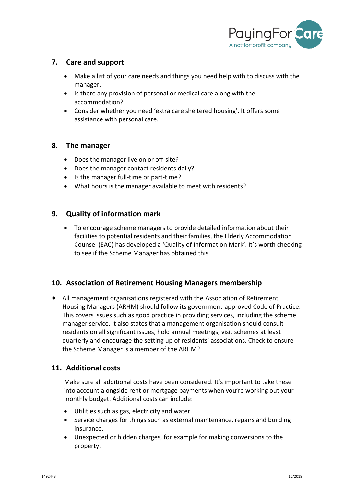

## **7. Care and support**

- Make a list of your care needs and things you need help with to discuss with the manager.
- Is there any provision of personal or medical care along with the accommodation?
- Consider whether you need 'extra care sheltered housing'. It offers some assistance with personal care.

#### **8. The manager**

- Does the manager live on or off-site?
- Does the manager contact residents daily?
- Is the manager full-time or part-time?
- What hours is the manager available to meet with residents?

## **9. Quality of information mark**

• To encourage scheme managers to provide detailed information about their facilities to potential residents and their families, the Elderly Accommodation Counsel (EAC) has developed a 'Quality of Information Mark'. It's worth checking to see if the Scheme Manager has obtained this.

## **10. Association of Retirement Housing Managers membership**

• All management organisations registered with the Association of Retirement Housing Managers (ARHM) should follow its government-approved Code of Practice. This covers issues such as good practice in providing services, including the scheme manager service. It also states that a management organisation should consult residents on all significant issues, hold annual meetings, visit schemes at least quarterly and encourage the setting up of residents' associations. Check to ensure the Scheme Manager is a member of the ARHM?

## **11. Additional costs**

Make sure all additional costs have been considered. It's important to take these into account alongside rent or mortgage payments when you're working out your monthly budget. Additional costs can include:

- Utilities such as gas, electricity and water.
- Service charges for things such as external maintenance, repairs and building insurance.
- Unexpected or hidden charges, for example for making conversions to the property.